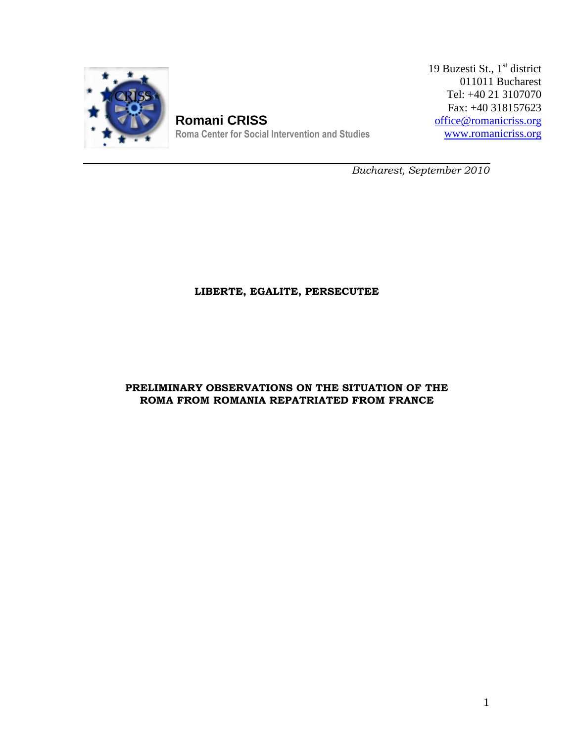

**Romani CRISS** Roma Center for Social Intervention and Studies 19 Buzesti St.,  $1^{\text{st}}$  district<br>011011 Bucharest<br>Tel:  $+40 21 3107070$ <br>Fax:  $+40 318157623$ <br>office@romanicriss.org 011011 Bucharest Tel: +40 21 3107070 Fax: +40 318157623 office@romanicriss.org www.romanicriss.org

Bucharest, September 2010

# LIBERTE, EGALITE, PERSECUTEE

# PRELIMINARY OBSERVATIONS ON THE SITUATION OF THE ROMA FROM ROMANIA REPATRIATED FROM FRANCE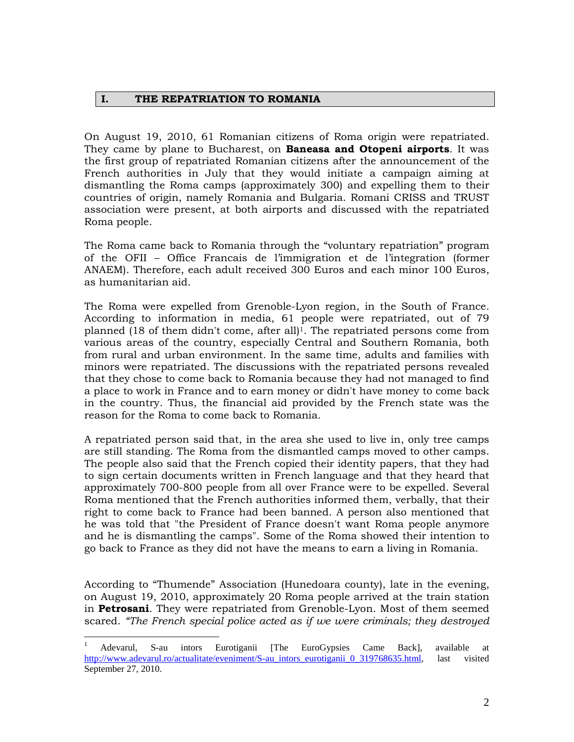### I. THE REPATRIATION TO ROMANIA

On August 19, 2010, 61 Romanian citizens of Roma origin were repatriated. They came by plane to Bucharest, on **Baneasa and Otopeni airports**. It was the first group of repatriated Romanian citizens after the announcement of the French authorities in July that they would initiate a campaign aiming at dismantling the Roma camps (approximately 300) and expelling them to their countries of origin, namely Romania and Bulgaria. Romani CRISS and TRUST association were present, at both airports and discussed with the repatriated Roma people.

The Roma came back to Romania through the "voluntary repatriation" program of the OFII – Office Francais de l'immigration et de l'integration (former ANAEM). Therefore, each adult received 300 Euros and each minor 100 Euros, as humanitarian aid.

The Roma were expelled from Grenoble-Lyon region, in the South of France. According to information in media, 61 people were repatriated, out of 79 planned (18 of them didn't come, after all)<sup>1</sup>. The repatriated persons come from various areas of the country, especially Central and Southern Romania, both from rural and urban environment. In the same time, adults and families with minors were repatriated. The discussions with the repatriated persons revealed that they chose to come back to Romania because they had not managed to find a place to work in France and to earn money or didn't have money to come back in the country. Thus, the financial aid provided by the French state was the reason for the Roma to come back to Romania.

A repatriated person said that, in the area she used to live in, only tree camps are still standing. The Roma from the dismantled camps moved to other camps. The people also said that the French copied their identity papers, that they had to sign certain documents written in French language and that they heard that approximately 700-800 people from all over France were to be expelled. Several Roma mentioned that the French authorities informed them, verbally, that their right to come back to France had been banned. A person also mentioned that he was told that "the President of France doesn't want Roma people anymore and he is dismantling the camps". Some of the Roma showed their intention to go back to France as they did not have the means to earn a living in Romania.

According to "Thumende" Association (Hunedoara county), late in the evening, on August 19, 2010, approximately 20 Roma people arrived at the train station in **Petrosani**. They were repatriated from Grenoble-Lyon. Most of them seemed scared. "The French special police acted as if we were criminals; they destroyed

<u>.</u>

<sup>1</sup> Adevarul, S-au intors Eurotiganii [The EuroGypsies Came Back], available at http://www.adevarul.ro/actualitate/eveniment/S-au\_intors\_eurotiganii\_0\_319768635.html, last visited September 27, 2010.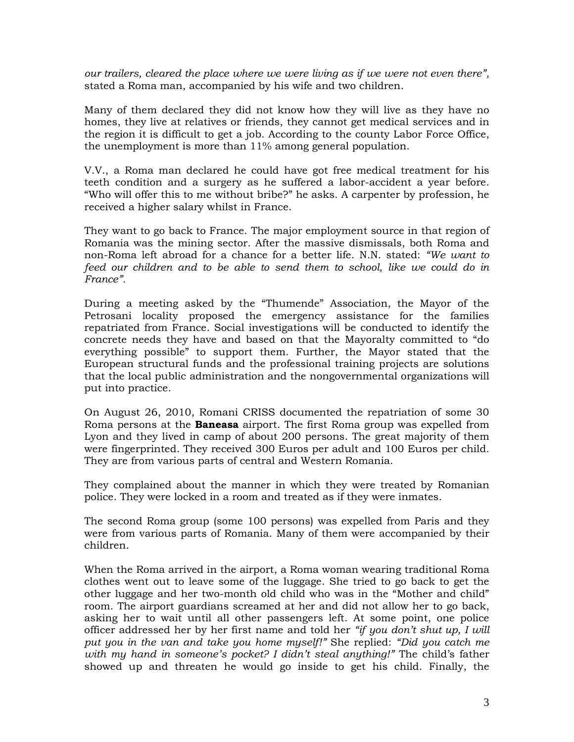our trailers, cleared the place where we were living as if we were not even there", stated a Roma man, accompanied by his wife and two children.

Many of them declared they did not know how they will live as they have no homes, they live at relatives or friends, they cannot get medical services and in the region it is difficult to get a job. According to the county Labor Force Office, the unemployment is more than 11% among general population.

V.V., a Roma man declared he could have got free medical treatment for his teeth condition and a surgery as he suffered a labor-accident a year before. "Who will offer this to me without bribe?" he asks. A carpenter by profession, he received a higher salary whilst in France.

They want to go back to France. The major employment source in that region of Romania was the mining sector. After the massive dismissals, both Roma and non-Roma left abroad for a chance for a better life. N.N. stated: "We want to feed our children and to be able to send them to school, like we could do in France".

During a meeting asked by the "Thumende" Association, the Mayor of the Petrosani locality proposed the emergency assistance for the families repatriated from France. Social investigations will be conducted to identify the concrete needs they have and based on that the Mayoralty committed to "do everything possible" to support them. Further, the Mayor stated that the European structural funds and the professional training projects are solutions that the local public administration and the nongovernmental organizations will put into practice.

On August 26, 2010, Romani CRISS documented the repatriation of some 30 Roma persons at the **Baneasa** airport. The first Roma group was expelled from Lyon and they lived in camp of about 200 persons. The great majority of them were fingerprinted. They received 300 Euros per adult and 100 Euros per child. They are from various parts of central and Western Romania.

They complained about the manner in which they were treated by Romanian police. They were locked in a room and treated as if they were inmates.

The second Roma group (some 100 persons) was expelled from Paris and they were from various parts of Romania. Many of them were accompanied by their children.

When the Roma arrived in the airport, a Roma woman wearing traditional Roma clothes went out to leave some of the luggage. She tried to go back to get the other luggage and her two-month old child who was in the "Mother and child" room. The airport guardians screamed at her and did not allow her to go back, asking her to wait until all other passengers left. At some point, one police officer addressed her by her first name and told her "if you don't shut up, I will put you in the van and take you home myself!" She replied: "Did you catch me with my hand in someone's pocket? I didn't steal anything!" The child's father showed up and threaten he would go inside to get his child. Finally, the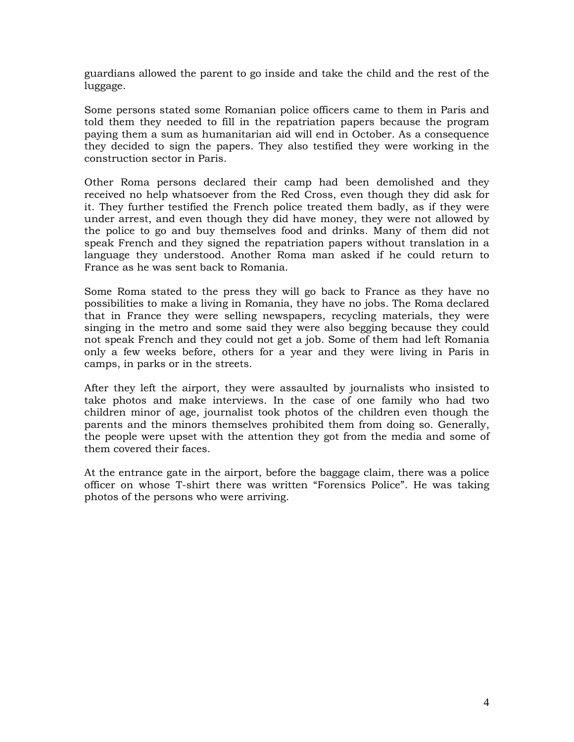guardians allowed the parent to go inside and take the child and the rest of the luggage.

Some persons stated some Romanian police officers came to them in Paris and told them they needed to fill in the repatriation papers because the program paying them a sum as humanitarian aid will end in October. As a consequence they decided to sign the papers. They also testified they were working in the construction sector in Paris.

Other Roma persons declared their camp had been demolished and they received no help whatsoever from the Red Cross, even though they did ask for it. They further testified the French police treated them badly, as if they were under arrest, and even though they did have money, they were not allowed by the police to go and buy themselves food and drinks. Many of them did not speak French and they signed the repatriation papers without translation in a language they understood. Another Roma man asked if he could return to France as he was sent back to Romania.

Some Roma stated to the press they will go back to France as they have no possibilities to make a living in Romania, they have no jobs. The Roma declared that in France they were selling newspapers, recycling materials, they were singing in the metro and some said they were also begging because they could not speak French and they could not get a job. Some of them had left Romania only a few weeks before, others for a year and they were living in Paris in camps, in parks or in the streets.

After they left the airport, they were assaulted by journalists who insisted to take photos and make interviews. In the case of one family who had two children minor of age, journalist took photos of the children even though the parents and the minors themselves prohibited them from doing so. Generally, the people were upset with the attention they got from the media and some of them covered their faces.

At the entrance gate in the airport, before the baggage claim, there was a police officer on whose T-shirt there was written "Forensics Police". He was taking photos of the persons who were arriving.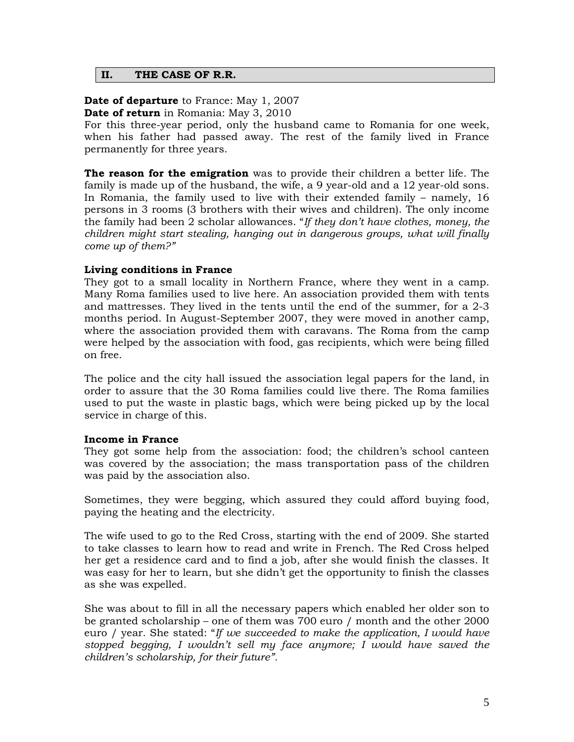### II. THE CASE OF R.R.

**Date of departure** to France: May 1, 2007

Date of return in Romania: May 3, 2010

For this three-year period, only the husband came to Romania for one week, when his father had passed away. The rest of the family lived in France permanently for three years.

**The reason for the emigration** was to provide their children a better life. The family is made up of the husband, the wife, a 9 year-old and a 12 year-old sons. In Romania, the family used to live with their extended family – namely, 16 persons in 3 rooms (3 brothers with their wives and children). The only income the family had been 2 scholar allowances. "If they don't have clothes, money, the children might start stealing, hanging out in dangerous groups, what will finally come up of them?"

# Living conditions in France

They got to a small locality in Northern France, where they went in a camp. Many Roma families used to live here. An association provided them with tents and mattresses. They lived in the tents until the end of the summer, for a 2-3 months period. In August-September 2007, they were moved in another camp, where the association provided them with caravans. The Roma from the camp were helped by the association with food, gas recipients, which were being filled on free.

The police and the city hall issued the association legal papers for the land, in order to assure that the 30 Roma families could live there. The Roma families used to put the waste in plastic bags, which were being picked up by the local service in charge of this.

#### Income in France

They got some help from the association: food; the children's school canteen was covered by the association; the mass transportation pass of the children was paid by the association also.

Sometimes, they were begging, which assured they could afford buying food, paying the heating and the electricity.

The wife used to go to the Red Cross, starting with the end of 2009. She started to take classes to learn how to read and write in French. The Red Cross helped her get a residence card and to find a job, after she would finish the classes. It was easy for her to learn, but she didn't get the opportunity to finish the classes as she was expelled.

She was about to fill in all the necessary papers which enabled her older son to be granted scholarship – one of them was 700 euro / month and the other 2000 euro / year. She stated: "If we succeeded to make the application, I would have stopped begging, I wouldn't sell my face anymore; I would have saved the children's scholarship, for their future".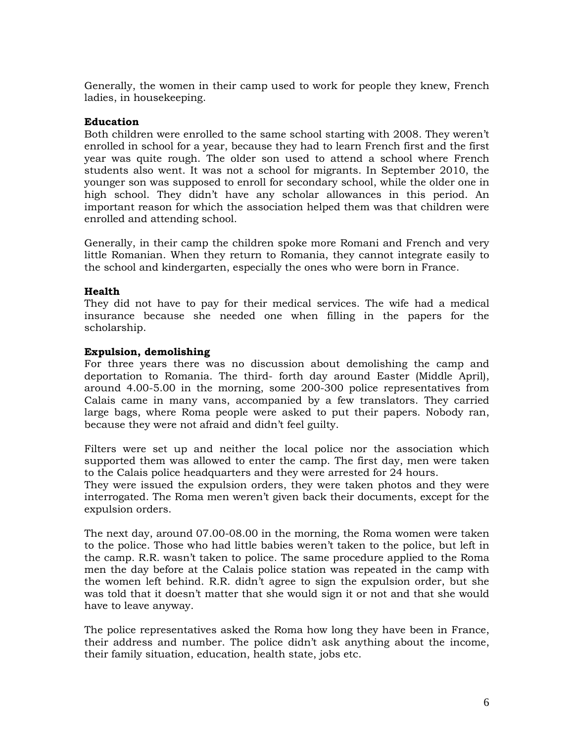Generally, the women in their camp used to work for people they knew, French ladies, in housekeeping.

## Education

Both children were enrolled to the same school starting with 2008. They weren't enrolled in school for a year, because they had to learn French first and the first year was quite rough. The older son used to attend a school where French students also went. It was not a school for migrants. In September 2010, the younger son was supposed to enroll for secondary school, while the older one in high school. They didn't have any scholar allowances in this period. An important reason for which the association helped them was that children were enrolled and attending school.

Generally, in their camp the children spoke more Romani and French and very little Romanian. When they return to Romania, they cannot integrate easily to the school and kindergarten, especially the ones who were born in France.

### Health

They did not have to pay for their medical services. The wife had a medical insurance because she needed one when filling in the papers for the scholarship.

#### Expulsion, demolishing

For three years there was no discussion about demolishing the camp and deportation to Romania. The third- forth day around Easter (Middle April), around 4.00-5.00 in the morning, some 200-300 police representatives from Calais came in many vans, accompanied by a few translators. They carried large bags, where Roma people were asked to put their papers. Nobody ran, because they were not afraid and didn't feel guilty.

Filters were set up and neither the local police nor the association which supported them was allowed to enter the camp. The first day, men were taken to the Calais police headquarters and they were arrested for 24 hours.

They were issued the expulsion orders, they were taken photos and they were interrogated. The Roma men weren't given back their documents, except for the expulsion orders.

The next day, around 07.00-08.00 in the morning, the Roma women were taken to the police. Those who had little babies weren't taken to the police, but left in the camp. R.R. wasn't taken to police. The same procedure applied to the Roma men the day before at the Calais police station was repeated in the camp with the women left behind. R.R. didn't agree to sign the expulsion order, but she was told that it doesn't matter that she would sign it or not and that she would have to leave anyway.

The police representatives asked the Roma how long they have been in France, their address and number. The police didn't ask anything about the income, their family situation, education, health state, jobs etc.